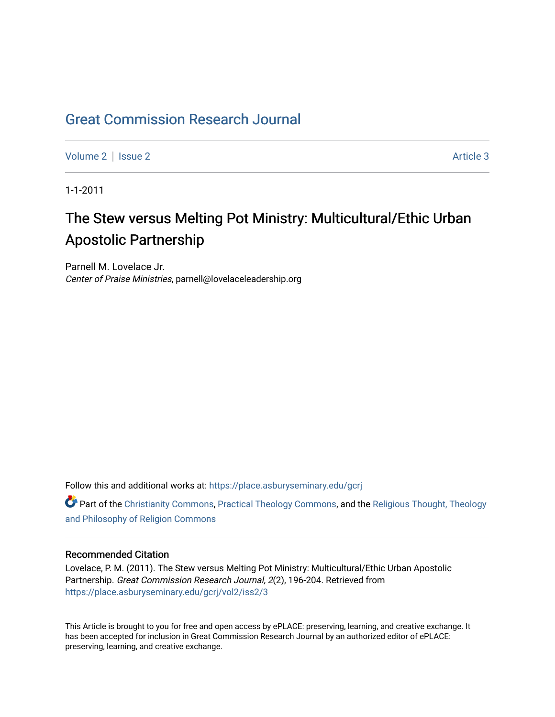## [Great Commission Research Journal](https://place.asburyseminary.edu/gcrj)

[Volume 2](https://place.asburyseminary.edu/gcrj/vol2) | [Issue 2](https://place.asburyseminary.edu/gcrj/vol2/iss2) Article 3

1-1-2011

# The Stew versus Melting Pot Ministry: Multicultural/Ethic Urban Apostolic Partnership

Parnell M. Lovelace Jr. Center of Praise Ministries, parnell@lovelaceleadership.org

Follow this and additional works at: [https://place.asburyseminary.edu/gcrj](https://place.asburyseminary.edu/gcrj?utm_source=place.asburyseminary.edu%2Fgcrj%2Fvol2%2Fiss2%2F3&utm_medium=PDF&utm_campaign=PDFCoverPages) 

**C** Part of the [Christianity Commons,](http://network.bepress.com/hgg/discipline/1181?utm_source=place.asburyseminary.edu%2Fgcrj%2Fvol2%2Fiss2%2F3&utm_medium=PDF&utm_campaign=PDFCoverPages) [Practical Theology Commons](http://network.bepress.com/hgg/discipline/1186?utm_source=place.asburyseminary.edu%2Fgcrj%2Fvol2%2Fiss2%2F3&utm_medium=PDF&utm_campaign=PDFCoverPages), and the Religious Thought, Theology [and Philosophy of Religion Commons](http://network.bepress.com/hgg/discipline/544?utm_source=place.asburyseminary.edu%2Fgcrj%2Fvol2%2Fiss2%2F3&utm_medium=PDF&utm_campaign=PDFCoverPages)

## Recommended Citation

Lovelace, P. M. (2011). The Stew versus Melting Pot Ministry: Multicultural/Ethic Urban Apostolic Partnership. Great Commission Research Journal, 2(2), 196-204. Retrieved from [https://place.asburyseminary.edu/gcrj/vol2/iss2/3](https://place.asburyseminary.edu/gcrj/vol2/iss2/3?utm_source=place.asburyseminary.edu%2Fgcrj%2Fvol2%2Fiss2%2F3&utm_medium=PDF&utm_campaign=PDFCoverPages) 

This Article is brought to you for free and open access by ePLACE: preserving, learning, and creative exchange. It has been accepted for inclusion in Great Commission Research Journal by an authorized editor of ePLACE: preserving, learning, and creative exchange.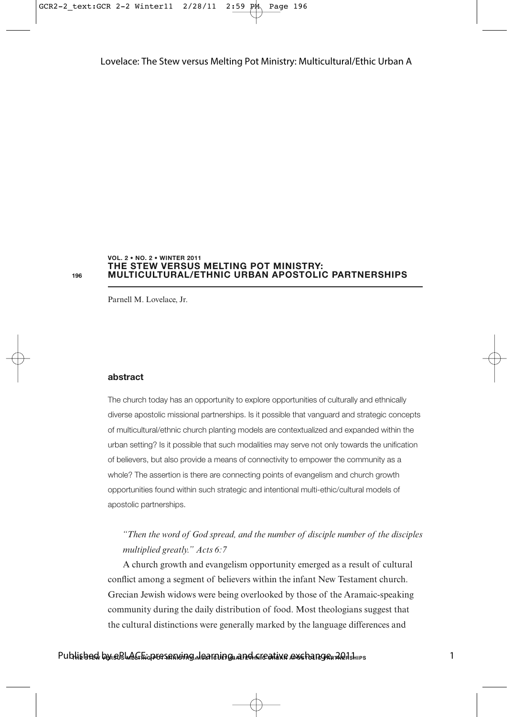#### **THE STEW VERSUS MELTING POT MINISTRY: MULTICULTURAL/ETHNIC URBAN APOSTOLIC PARTNERSHIPS VOL. 2 • NO. 2 • WINTER 2011**

**196**

Parnell M. Lovelace, Jr.

#### **abstract**

The church today has an opportunity to explore opportunities of culturally and ethnically diverse apostolic missional partnerships. Is it possible that vanguard and strategic concepts of multicultural/ethnic church planting models are contextualized and expanded within the urban setting? Is it possible that such modalities may serve not only towards the unification of believers, but also provide a means of connectivity to empower the community as a whole? The assertion is there are connecting points of evangelism and church growth opportunities found within such strategic and intentional multi-ethic/cultural models of apostolic partnerships.

## *"Then the word of God spread, and the number of disciple number of the disciples multiplied greatly." Acts 6:7*

A church growth and evangelism opportunity emerged as a result of cultural conflict among a segment of believers within the infant New Testament church. Grecian Jewish widows were being overlooked by those of the Aramaic-speaking community during the daily distribution of food. Most theologians suggest that the cultural distinctions were generally marked by the language differences and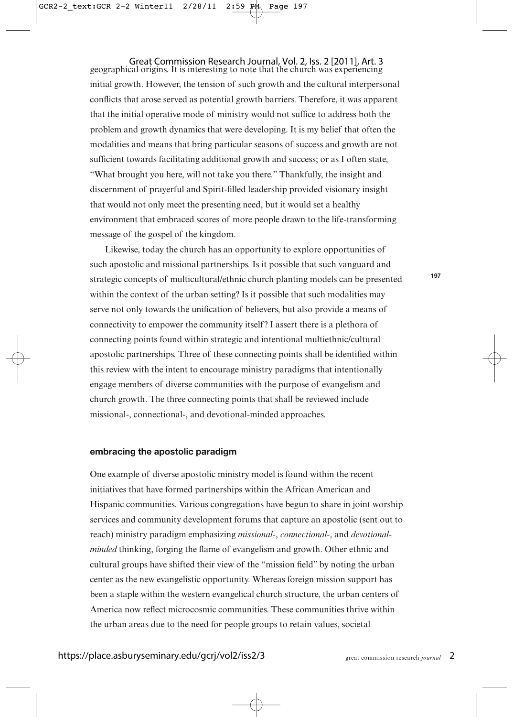Great Commission Research Journal, Vol. 2, Iss. 2 [2011], Art. 3 geographical origins. It is interesting to note that the church was experiencing initial growth. However, the tension of such growth and the cultural interpersonal conflicts that arose served as potential growth barriers. Therefore, it was apparent that the initial operative mode of ministry would not suffice to address both the problem and growth dynamics that were developing. It is my belief that often the modalities and means that bring particular seasons of success and growth are not sufficient towards facilitating additional growth and success; or as I often state, "What brought you here, will not take you there." Thankfully, the insight and discernment of prayerful and Spirit-filled leadership provided visionary insight that would not only meet the presenting need, but it would set a healthy environment that embraced scores of more people drawn to the life-transforming message of the gospel of the kingdom.

Likewise, today the church has an opportunity to explore opportunities of such apostolic and missional partnerships. Is it possible that such vanguard and strategic concepts of multicultural/ethnic church planting models can be presented within the context of the urban setting? Is it possible that such modalities may serve not only towards the unification of believers, but also provide a means of connectivity to empower the community itself? I assert there is a plethora of connecting points found within strategic and intentional multiethnic/cultural apostolic partnerships. Three of these connecting points shall be identified within this review with the intent to encourage ministry paradigms that intentionally engage members of diverse communities with the purpose of evangelism and church growth. The three connecting points that shall be reviewed include missional-, connectional-, and devotional-minded approaches.

#### **embracing the apostolic paradigm**

One example of diverse apostolic ministry model is found within the recent initiatives that have formed partnerships within the African American and Hispanic communities. Various congregations have begun to share in joint worship services and community development forums that capture an apostolic (sent out to reach) ministry paradigm emphasizing *missional-*, *connectional-*, and *devotionalminded* thinking, forging the flame of evangelism and growth. Other ethnic and cultural groups have shifted their view of the "mission field" by noting the urban center as the new evangelistic opportunity. Whereas foreign mission support has been a staple within the western evangelical church structure, the urban centers of America now reflect microcosmic communities. These communities thrive within the urban areas due to the need for people groups to retain values, societal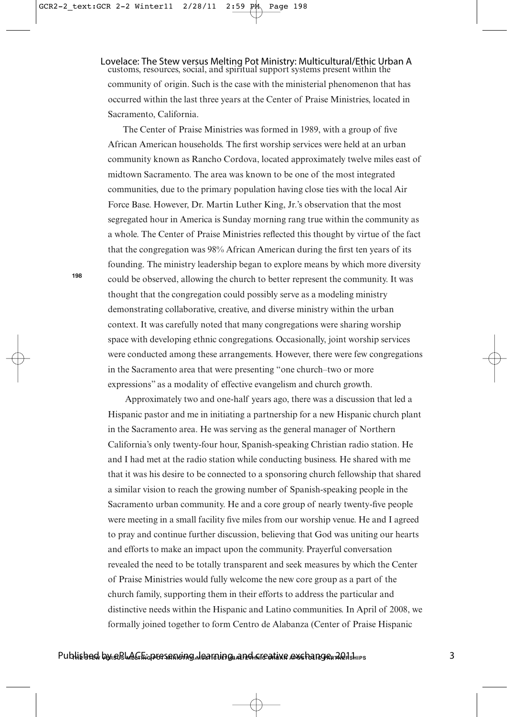customs, resources, social, and spiritual support systems present within the community of origin. Such is the case with the ministerial phenomenon that has occurred within the last three years at the Center of Praise Ministries, located in Sacramento, California. Lovelace: The Stew versus Melting Pot Ministry: Multicultural/Ethic Urban A

The Center of Praise Ministries was formed in 1989, with a group of five African American households. The first worship services were held at an urban community known as Rancho Cordova, located approximately twelve miles east of midtown Sacramento. The area was known to be one of the most integrated communities, due to the primary population having close ties with the local Air Force Base. However, Dr. Martin Luther King, Jr.'s observation that the most segregated hour in America is Sunday morning rang true within the community as a whole. The Center of Praise Ministries reflected this thought by virtue of the fact that the congregation was 98% African American during the first ten years of its founding. The ministry leadership began to explore means by which more diversity could be observed, allowing the church to better represent the community. It was thought that the congregation could possibly serve as a modeling ministry demonstrating collaborative, creative, and diverse ministry within the urban context. It was carefully noted that many congregations were sharing worship space with developing ethnic congregations. Occasionally, joint worship services were conducted among these arrangements. However, there were few congregations in the Sacramento area that were presenting "one church–two or more expressions" as a modality of effective evangelism and church growth.

Approximately two and one-half years ago, there was a discussion that led a Hispanic pastor and me in initiating a partnership for a new Hispanic church plant in the Sacramento area. He was serving as the general manager of Northern California's only twenty-four hour, Spanish-speaking Christian radio station. He and I had met at the radio station while conducting business. He shared with me that it was his desire to be connected to a sponsoring church fellowship that shared a similar vision to reach the growing number of Spanish-speaking people in the Sacramento urban community. He and a core group of nearly twenty-five people were meeting in a small facility five miles from our worship venue. He and I agreed to pray and continue further discussion, believing that God was uniting our hearts and efforts to make an impact upon the community. Prayerful conversation revealed the need to be totally transparent and seek measures by which the Center of Praise Ministries would fully welcome the new core group as a part of the church family, supporting them in their efforts to address the particular and distinctive needs within the Hispanic and Latino communities. In April of 2008, we formally joined together to form Centro de Alabanza (Center of Praise Hispanic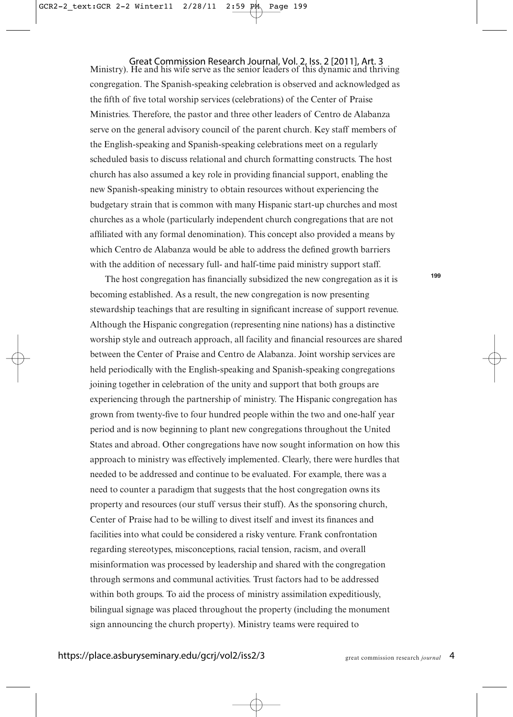Ministry). He and his wife serve as the senior leaders of this dynamic and thriving congregation. The Spanish-speaking celebration is observed and acknowledged as the fifth of five total worship services (celebrations) of the Center of Praise Ministries. Therefore, the pastor and three other leaders of Centro de Alabanza serve on the general advisory council of the parent church. Key staff members of the English-speaking and Spanish-speaking celebrations meet on a regularly scheduled basis to discuss relational and church formatting constructs. The host church has also assumed a key role in providing financial support, enabling the new Spanish-speaking ministry to obtain resources without experiencing the budgetary strain that is common with many Hispanic start-up churches and most churches as a whole (particularly independent church congregations that are not affiliated with any formal denomination). This concept also provided a means by which Centro de Alabanza would be able to address the defined growth barriers with the addition of necessary full- and half-time paid ministry support staff. Great Commission Research Journal, Vol. 2, Iss. 2 [2011], Art. 3

The host congregation has financially subsidized the new congregation as it is becoming established. As a result, the new congregation is now presenting stewardship teachings that are resulting in significant increase of support revenue. Although the Hispanic congregation (representing nine nations) has a distinctive worship style and outreach approach, all facility and financial resources are shared between the Center of Praise and Centro de Alabanza. Joint worship services are held periodically with the English-speaking and Spanish-speaking congregations joining together in celebration of the unity and support that both groups are experiencing through the partnership of ministry. The Hispanic congregation has grown from twenty-five to four hundred people within the two and one-half year period and is now beginning to plant new congregations throughout the United States and abroad. Other congregations have now sought information on how this approach to ministry was effectively implemented. Clearly, there were hurdles that needed to be addressed and continue to be evaluated. For example, there was a need to counter a paradigm that suggests that the host congregation owns its property and resources (our stuff versus their stuff). As the sponsoring church, Center of Praise had to be willing to divest itself and invest its finances and facilities into what could be considered a risky venture. Frank confrontation regarding stereotypes, misconceptions, racial tension, racism, and overall misinformation was processed by leadership and shared with the congregation through sermons and communal activities. Trust factors had to be addressed within both groups. To aid the process of ministry assimilation expeditiously, bilingual signage was placed throughout the property (including the monument sign announcing the church property). Ministry teams were required to

**199**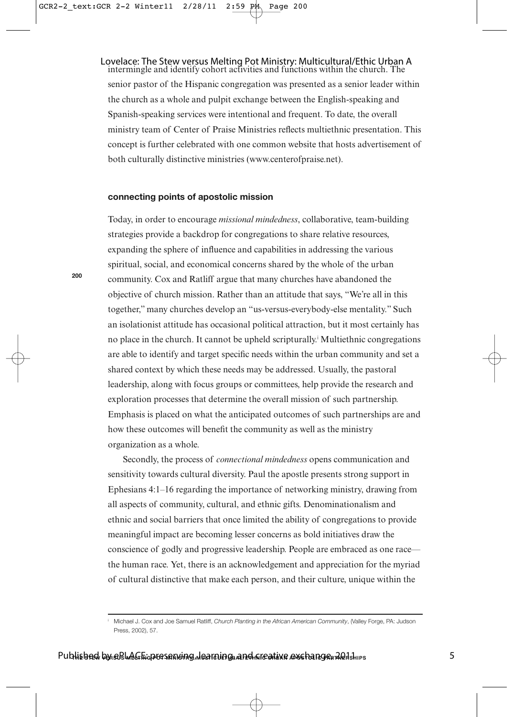#### intermingle and identify cohort activities and functions within the church. The Lovelace: The Stew versus Melting Pot Ministry: Multicultural/Ethic Urban A

senior pastor of the Hispanic congregation was presented as a senior leader within the church as a whole and pulpit exchange between the English-speaking and Spanish-speaking services were intentional and frequent. To date, the overall ministry team of Center of Praise Ministries reflects multiethnic presentation. This concept is further celebrated with one common website that hosts advertisement of both culturally distinctive ministries (www.centerofpraise.net).

#### **connecting points of apostolic mission**

Today, in order to encourage *missional mindedness*, collaborative, team-building strategies provide a backdrop for congregations to share relative resources, expanding the sphere of influence and capabilities in addressing the various spiritual, social, and economical concerns shared by the whole of the urban community. Cox and Ratliff argue that many churches have abandoned the objective of church mission. Rather than an attitude that says, "We're all in this together," many churches develop an "us-versus-everybody-else mentality." Such an isolationist attitude has occasional political attraction, but it most certainly has no place in the church. It cannot be upheld scripturally.<sup>*I*</sup> Multiethnic congregations are able to identify and target specific needs within the urban community and set a shared context by which these needs may be addressed. Usually, the pastoral leadership, along with focus groups or committees, help provide the research and exploration processes that determine the overall mission of such partnership. Emphasis is placed on what the anticipated outcomes of such partnerships are and how these outcomes will benefit the community as well as the ministry organization as a whole.

Secondly, the process of *connectional mindedness* opens communication and sensitivity towards cultural diversity. Paul the apostle presents strong support in Ephesians 4:1–16 regarding the importance of networking ministry, drawing from all aspects of community, cultural, and ethnic gifts. Denominationalism and ethnic and social barriers that once limited the ability of congregations to provide meaningful impact are becoming lesser concerns as bold initiatives draw the conscience of godly and progressive leadership. People are embraced as one race the human race. Yet, there is an acknowledgement and appreciation for the myriad of cultural distinctive that make each person, and their culture, unique within the

Michael J. Cox and Joe Samuel Ratliff, Church Planting in the African American Community, (Valley Forge, PA: Judson Press, 2002), 57.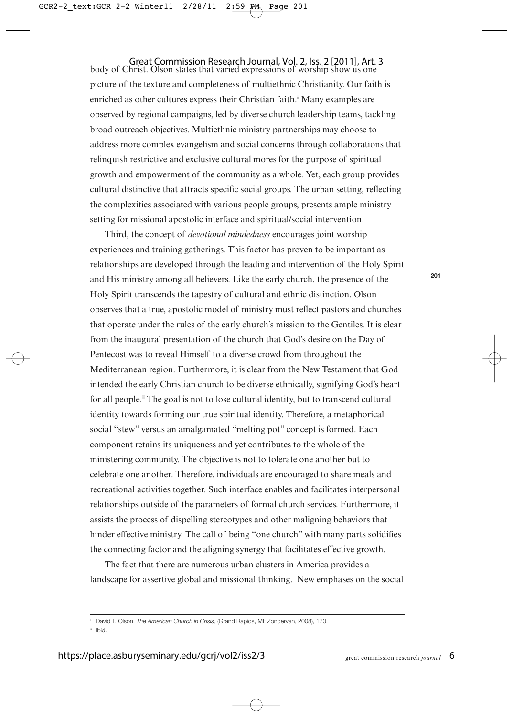body of Christ. Olson states that varied expressions of worship show us one picture of the texture and completeness of multiethnic Christianity. Our faith is enriched as other cultures express their Christian faith.<sup>ii</sup> Many examples are observed by regional campaigns, led by diverse church leadership teams, tackling broad outreach objectives. Multiethnic ministry partnerships may choose to address more complex evangelism and social concerns through collaborations that relinquish restrictive and exclusive cultural mores for the purpose of spiritual growth and empowerment of the community as a whole. Yet, each group provides cultural distinctive that attracts specific social groups. The urban setting, reflecting the complexities associated with various people groups, presents ample ministry setting for missional apostolic interface and spiritual/social intervention. Great Commission Research Journal, Vol. 2, Iss. 2 [2011], Art. 3

Third, the concept of *devotional mindedness* encourages joint worship experiences and training gatherings. This factor has proven to be important as relationships are developed through the leading and intervention of the Holy Spirit and His ministry among all believers. Like the early church, the presence of the Holy Spirit transcends the tapestry of cultural and ethnic distinction. Olson observes that a true, apostolic model of ministry must reflect pastors and churches that operate under the rules of the early church's mission to the Gentiles. It is clear from the inaugural presentation of the church that God's desire on the Day of Pentecost was to reveal Himself to a diverse crowd from throughout the Mediterranean region. Furthermore, it is clear from the New Testament that God intended the early Christian church to be diverse ethnically, signifying God's heart for all people.<sup>ii</sup> The goal is not to lose cultural identity, but to transcend cultural identity towards forming our true spiritual identity. Therefore, a metaphorical social "stew" versus an amalgamated "melting pot" concept is formed. Each component retains its uniqueness and yet contributes to the whole of the ministering community. The objective is not to tolerate one another but to celebrate one another. Therefore, individuals are encouraged to share meals and recreational activities together. Such interface enables and facilitates interpersonal relationships outside of the parameters of formal church services. Furthermore, it assists the process of dispelling stereotypes and other maligning behaviors that hinder effective ministry. The call of being "one church" with many parts solidifies the connecting factor and the aligning synergy that facilitates effective growth.

The fact that there are numerous urban clusters in America provides a landscape for assertive global and missional thinking. New emphases on the social

<sup>i</sup> David T. Olson, The American Church in Crisis, (Grand Rapids, MI: Zondervan, 2008), 170.

iii Ibid.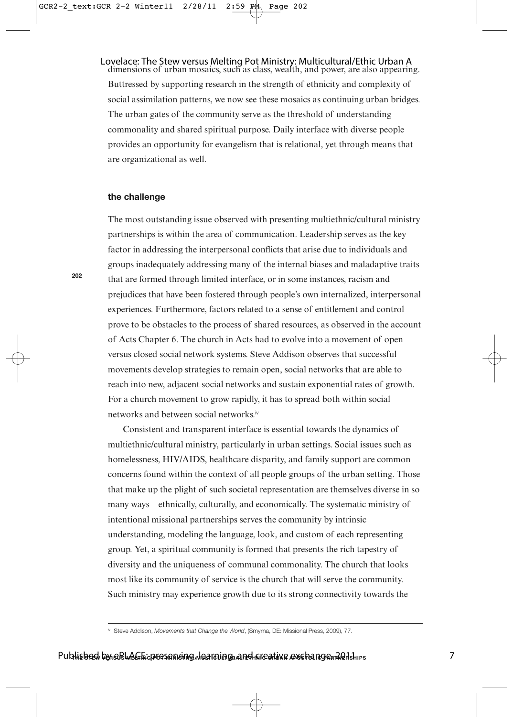## Lovelace: The Stew versus Melting Pot Ministry: Multicultural/Ethic Urban A<br>dimensions of urban mosaics, such as class, wealth, and power, are also appearing. Buttressed by supporting research in the strength of ethnicity and complexity of social assimilation patterns, we now see these mosaics as continuing urban bridges. The urban gates of the community serve as the threshold of understanding

commonality and shared spiritual purpose. Daily interface with diverse people provides an opportunity for evangelism that is relational, yet through means that are organizational as well.

#### **the challenge**

The most outstanding issue observed with presenting multiethnic/cultural ministry partnerships is within the area of communication. Leadership serves as the key factor in addressing the interpersonal conflicts that arise due to individuals and groups inadequately addressing many of the internal biases and maladaptive traits that are formed through limited interface, or in some instances, racism and prejudices that have been fostered through people's own internalized, interpersonal experiences. Furthermore, factors related to a sense of entitlement and control prove to be obstacles to the process of shared resources, as observed in the account of Acts Chapter 6. The church in Acts had to evolve into a movement of open versus closed social network systems. Steve Addison observes that successful movements develop strategies to remain open, social networks that are able to reach into new, adjacent social networks and sustain exponential rates of growth. For a church movement to grow rapidly, it has to spread both within social networks and between social networks.iv

Consistent and transparent interface is essential towards the dynamics of multiethnic/cultural ministry, particularly in urban settings. Social issues such as homelessness, HIV/AIDS, healthcare disparity, and family support are common concerns found within the context of all people groups of the urban setting. Those that make up the plight of such societal representation are themselves diverse in so many ways—ethnically, culturally, and economically. The systematic ministry of intentional missional partnerships serves the community by intrinsic understanding, modeling the language, look, and custom of each representing group. Yet, a spiritual community is formed that presents the rich tapestry of diversity and the uniqueness of communal commonality. The church that looks most like its community of service is the church that will serve the community. Such ministry may experience growth due to its strong connectivity towards the

iv Steve Addison, Movements that Change the World, (Smyrna, DE: Missional Press, 2009), 77.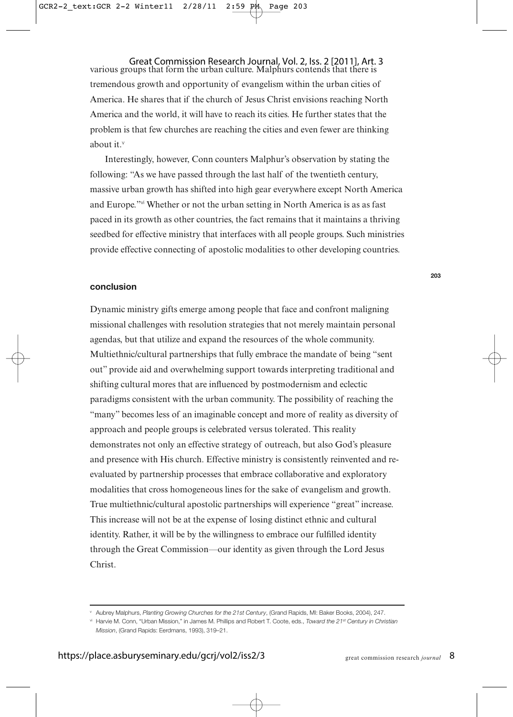various groups that form the urban culture. Malphurs contends that there is tremendous growth and opportunity of evangelism within the urban cities of America. He shares that if the church of Jesus Christ envisions reaching North America and the world, it will have to reach its cities. He further states that the problem is that few churches are reaching the cities and even fewer are thinking about it.<sup>v</sup> Great Commission Research Journal, Vol. 2, Iss. 2 [2011], Art. 3

Interestingly, however, Conn counters Malphur's observation by stating the following: "As we have passed through the last half of the twentieth century, massive urban growth has shifted into high gear everywhere except North America and Europe."vi Whether or not the urban setting in North America is as as fast paced in its growth as other countries, the fact remains that it maintains a thriving seedbed for effective ministry that interfaces with all people groups. Such ministries provide effective connecting of apostolic modalities to other developing countries.

#### **conclusion**

Dynamic ministry gifts emerge among people that face and confront maligning missional challenges with resolution strategies that not merely maintain personal agendas, but that utilize and expand the resources of the whole community. Multiethnic/cultural partnerships that fully embrace the mandate of being "sent out" provide aid and overwhelming support towards interpreting traditional and shifting cultural mores that are influenced by postmodernism and eclectic paradigms consistent with the urban community. The possibility of reaching the "many" becomes less of an imaginable concept and more of reality as diversity of approach and people groups is celebrated versus tolerated. This reality demonstrates not only an effective strategy of outreach, but also God's pleasure and presence with His church. Effective ministry is consistently reinvented and reevaluated by partnership processes that embrace collaborative and exploratory modalities that cross homogeneous lines for the sake of evangelism and growth. True multiethnic/cultural apostolic partnerships will experience "great" increase. This increase will not be at the expense of losing distinct ethnic and cultural identity. Rather, it will be by the willingness to embrace our fulfilled identity through the Great Commission—our identity as given through the Lord Jesus Christ.

v Aubrey Malphurs, Planting Growing Churches for the 21st Century, (Grand Rapids, MI: Baker Books, 2004), 247.

vi Harvie M. Conn, "Urban Mission," in James M. Phillips and Robert T. Coote, eds., Toward the 21<sup>st</sup> Century in Christian Mission, (Grand Rapids: Eerdmans, 1993), 319–21.